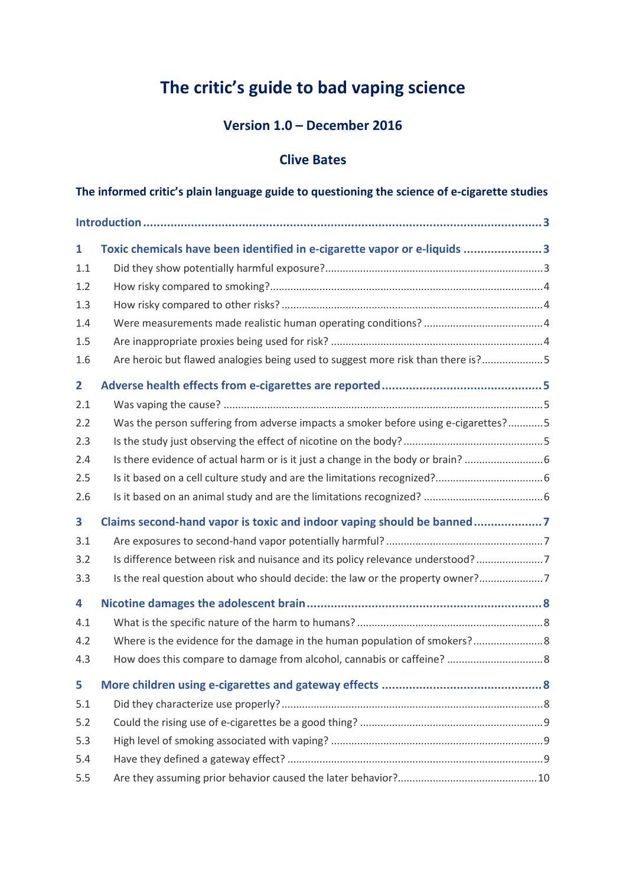# **The critic's guide to bad vaping science**

## **Version 1.0 – December 2016**

## **Clive Bates**

| The informed critic's plain language guide to questioning the science of e-cigarette studies |  |  |  |
|----------------------------------------------------------------------------------------------|--|--|--|
|                                                                                              |  |  |  |
| Toxic chemicals have been identified in e-cigarette vapor or e-liquids 3<br>$\mathbf{1}$     |  |  |  |
| 1.1                                                                                          |  |  |  |
| 1.2                                                                                          |  |  |  |
| 1.3                                                                                          |  |  |  |
| 1.4                                                                                          |  |  |  |
| 1.5                                                                                          |  |  |  |
| Are heroic but flawed analogies being used to suggest more risk than there is?5<br>1.6       |  |  |  |
| $\overline{2}$                                                                               |  |  |  |
| 2.1                                                                                          |  |  |  |
| Was the person suffering from adverse impacts a smoker before using e-cigarettes?5<br>2.2    |  |  |  |
| 2.3                                                                                          |  |  |  |
| Is there evidence of actual harm or is it just a change in the body or brain?<br>2.4         |  |  |  |
| 2.5                                                                                          |  |  |  |
| 2.6                                                                                          |  |  |  |
| Claims second-hand vapor is toxic and indoor vaping should be banned7<br>3                   |  |  |  |
| 3.1                                                                                          |  |  |  |
| Is difference between risk and nuisance and its policy relevance understood?7<br>3.2         |  |  |  |
| Is the real question about who should decide: the law or the property owner?7<br>3.3         |  |  |  |
| 4                                                                                            |  |  |  |
| 4.1                                                                                          |  |  |  |
| Where is the evidence for the damage in the human population of smokers? 8<br>4.2            |  |  |  |
| 4.3                                                                                          |  |  |  |
| 5                                                                                            |  |  |  |
| 5.1                                                                                          |  |  |  |
| 5.2                                                                                          |  |  |  |
| 5.3                                                                                          |  |  |  |
| 5.4                                                                                          |  |  |  |
| 5.5                                                                                          |  |  |  |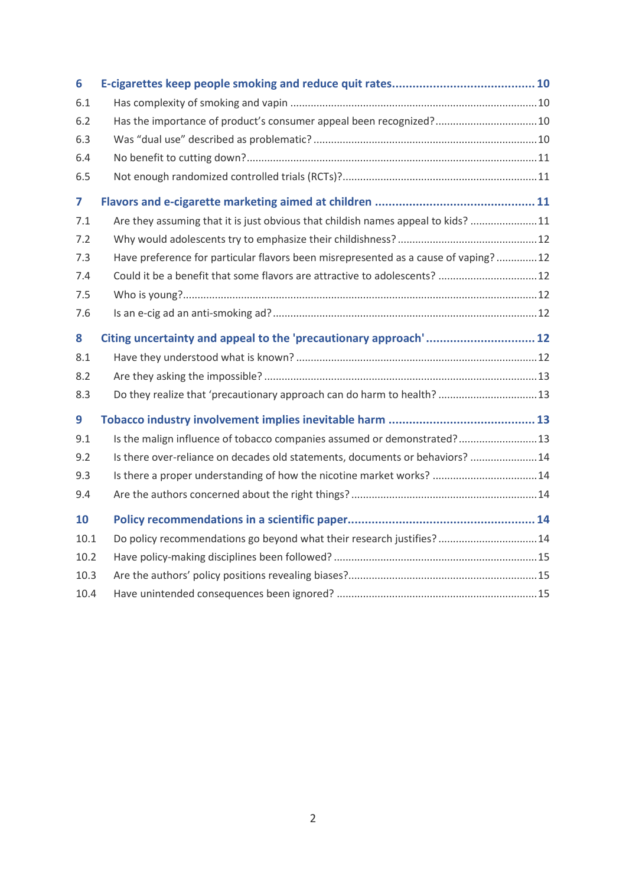| 6    |                                                                                    |  |
|------|------------------------------------------------------------------------------------|--|
| 6.1  |                                                                                    |  |
| 6.2  | Has the importance of product's consumer appeal been recognized?10                 |  |
| 6.3  |                                                                                    |  |
| 6.4  |                                                                                    |  |
| 6.5  |                                                                                    |  |
| 7    |                                                                                    |  |
| 7.1  | Are they assuming that it is just obvious that childish names appeal to kids? 11   |  |
| 7.2  |                                                                                    |  |
| 7.3  | Have preference for particular flavors been misrepresented as a cause of vaping?12 |  |
| 7.4  | Could it be a benefit that some flavors are attractive to adolescents?  12         |  |
| 7.5  |                                                                                    |  |
| 7.6  |                                                                                    |  |
| 8    | Citing uncertainty and appeal to the 'precautionary approach' 12                   |  |
| 8.1  |                                                                                    |  |
| 8.2  |                                                                                    |  |
| 8.3  | Do they realize that 'precautionary approach can do harm to health?13              |  |
| 9    |                                                                                    |  |
| 9.1  | Is the malign influence of tobacco companies assumed or demonstrated?13            |  |
| 9.2  | Is there over-reliance on decades old statements, documents or behaviors?  14      |  |
| 9.3  | Is there a proper understanding of how the nicotine market works? 14               |  |
| 9.4  |                                                                                    |  |
| 10   |                                                                                    |  |
| 10.1 | Do policy recommendations go beyond what their research justifies?14               |  |
| 10.2 |                                                                                    |  |
| 10.3 |                                                                                    |  |
| 10.4 |                                                                                    |  |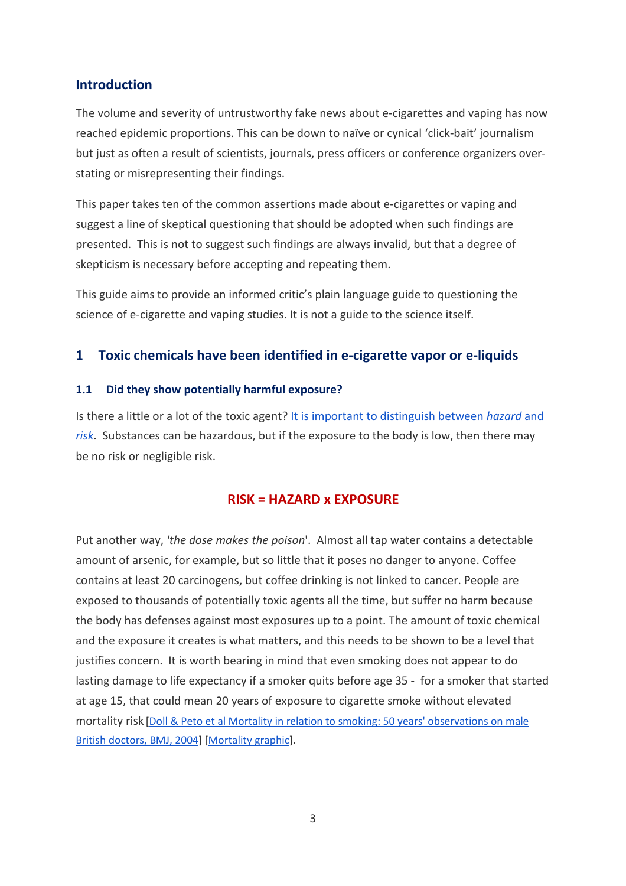## **Introduction**

The volume and severity of untrustworthy fake news about e-cigarettes and vaping has now reached epidemic proportions. This can be down to naïve or cynical 'click-bait' journalism but just as often a result of scientists, journals, press officers or conference organizers overstating or misrepresenting their findings.

This paper takes ten of the common assertions made about e-cigarettes or vaping and suggest a line of skeptical questioning that should be adopted when such findings are presented. This is not to suggest such findings are always invalid, but that a degree of skepticism is necessary before accepting and repeating them.

This guide aims to provide an informed critic's plain language guide to questioning the science of e-cigarette and vaping studies. It is not a guide to the science itself.

## **1 Toxic chemicals have been identified in e-cigarette vapor or e-liquids**

#### **1.1 Did they show potentially harmful exposure?**

Is there a little or a lot of the toxic agent? [It is important to distinguish between](http://toxedfoundation.org/hazard-vs-risk/) *[hazard](http://toxedfoundation.org/hazard-vs-risk/)* [and](http://toxedfoundation.org/hazard-vs-risk/)  *[risk](http://toxedfoundation.org/hazard-vs-risk/)*. Substances can be hazardous, but if the exposure to the body is low, then there may be no risk or negligible risk.

## **RISK = HAZARD x EXPOSURE**

Put another way, *'the dose makes the poison*'. Almost all tap water contains a detectable amount of arsenic, for example, but so little that it poses no danger to anyone. Coffee contains at least 20 carcinogens, but coffee drinking is not linked to cancer. People are exposed to thousands of potentially toxic agents all the time, but suffer no harm because the body has defenses against most exposures up to a point. The amount of toxic chemical and the exposure it creates is what matters, and this needs to be shown to be a level that justifies concern. It is worth bearing in mind that even smoking does not appear to do lasting damage to life expectancy if a smoker quits before age 35 - for a smoker that started at age 15, that could mean 20 years of exposure to cigarette smoke without elevated mortality risk [Doll & Peto et al Mortality in relation to smoking: 50 years' observations on male British doctors, BMJ, 2004] [\[Mortality graphic\]](http://static.www.bmj.com/content/bmj/328/7455/1519/F4.large.jpg).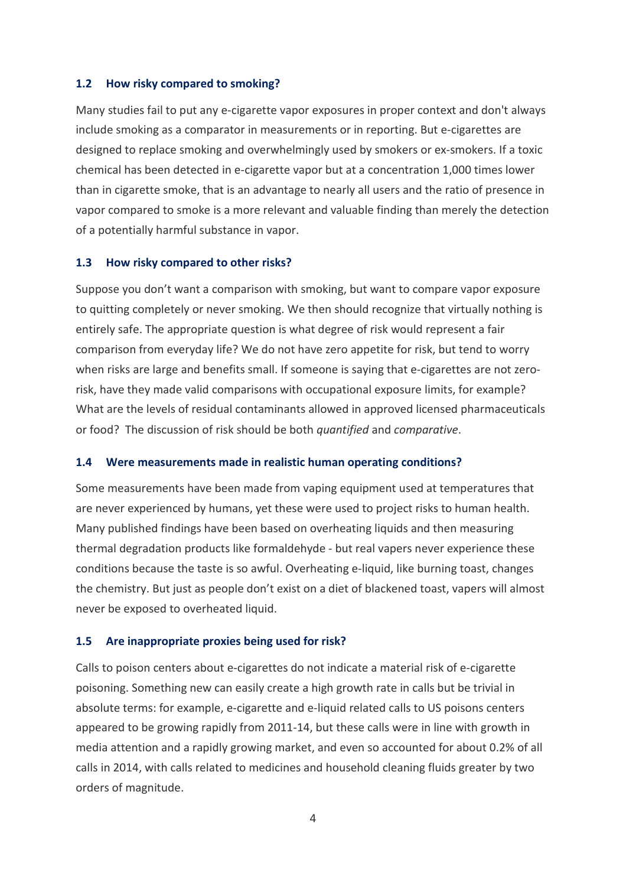#### **1.2 How risky compared to smoking?**

Many studies fail to put any e-cigarette vapor exposures in proper context and don't always include smoking as a comparator in measurements or in reporting. But e-cigarettes are designed to replace smoking and overwhelmingly used by smokers or ex-smokers. If a toxic chemical has been detected in e-cigarette vapor but at a concentration 1,000 times lower than in cigarette smoke, that is an advantage to nearly all users and the ratio of presence in vapor compared to smoke is a more relevant and valuable finding than merely the detection of a potentially harmful substance in vapor.

#### **1.3 How risky compared to other risks?**

Suppose you don't want a comparison with smoking, but want to compare vapor exposure to quitting completely or never smoking. We then should recognize that virtually nothing is entirely safe. The appropriate question is what degree of risk would represent a fair comparison from everyday life? We do not have zero appetite for risk, but tend to worry when risks are large and benefits small. If someone is saying that e-cigarettes are not zerorisk, have they made valid comparisons with occupational exposure limits, for example? What are the levels of residual contaminants allowed in approved licensed pharmaceuticals or food? The discussion of risk should be both *quantified* and *comparative*.

#### **1.4 Were measurements made in realistic human operating conditions?**

Some measurements have been made from vaping equipment used at temperatures that are never experienced by humans, yet these were used to project risks to human health. Many published findings have been based on overheating liquids and then measuring thermal degradation products like formaldehyde - but real vapers never experience these conditions because the taste is so awful. Overheating e-liquid, like burning toast, changes the chemistry. But just as people don't exist on a diet of blackened toast, vapers will almost never be exposed to overheated liquid.

#### **1.5 Are inappropriate proxies being used for risk?**

Calls to poison centers about e-cigarettes do not indicate a material risk of e-cigarette poisoning. Something new can easily create a high growth rate in calls but be trivial in absolute terms: for example, e-cigarette and e-liquid related calls to US poisons centers appeared to be growing rapidly from 2011-14, but these calls were in line with growth in media attention and a rapidly growing market, and even so accounted for about 0.2% of all calls in 2014, with calls related to medicines and household cleaning fluids greater by two orders of magnitude.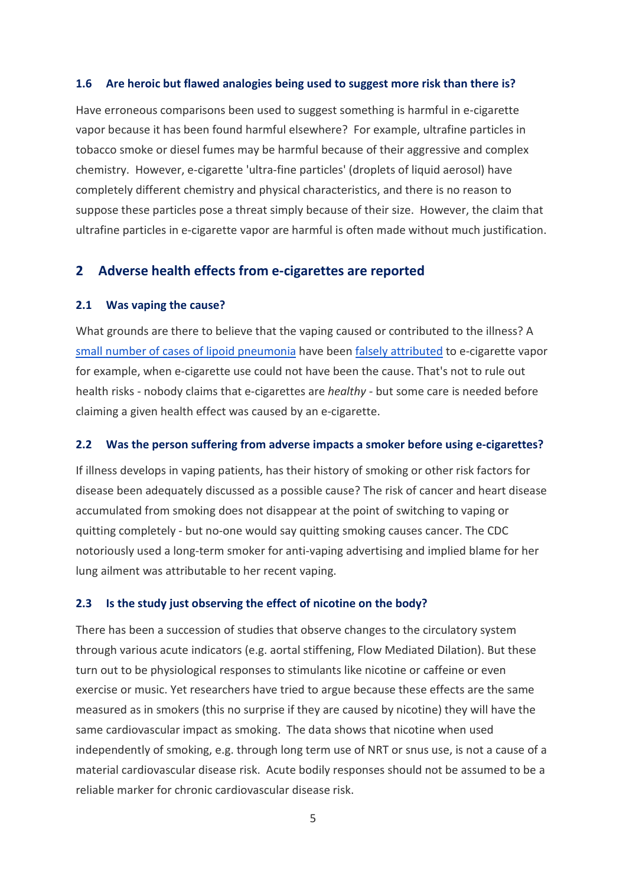#### **1.6 Are heroic but flawed analogies being used to suggest more risk than there is?**

Have erroneous comparisons been used to suggest something is harmful in e-cigarette vapor because it has been found harmful elsewhere? For example, ultrafine particles in tobacco smoke or diesel fumes may be harmful because of their aggressive and complex chemistry. However, e-cigarette 'ultra-fine particles' (droplets of liquid aerosol) have completely different chemistry and physical characteristics, and there is no reason to suppose these particles pose a threat simply because of their size. However, the claim that ultrafine particles in e-cigarette vapor are harmful is often made without much justification.

## **2 Adverse health effects from e-cigarettes are reported**

#### **2.1 Was vaping the cause?**

What grounds are there to believe that the vaping caused or contributed to the illness? A [small number of cases of lipoid pneumonia](http://vaperanks.com/spanish-hospital-reports-worlds-second-ever-case-of-lipoid-pneumonia-associated-with-e-cigarette-use/) have been [falsely attributed](http://www.ecigarette-research.com/web/index.php/2013-04-07-09-50-07/2014/157-glycerol) to e-cigarette vapor for example, when e-cigarette use could not have been the cause. That's not to rule out health risks - nobody claims that e-cigarettes are *healthy -* but some care is needed before claiming a given health effect was caused by an e-cigarette.

#### **2.2 Was the person suffering from adverse impacts a smoker before using e-cigarettes?**

If illness develops in vaping patients, has their history of smoking or other risk factors for disease been adequately discussed as a possible cause? The risk of cancer and heart disease accumulated from smoking does not disappear at the point of switching to vaping or quitting completely - but no-one would say quitting smoking causes cancer. The CDC notoriously used a long-term smoker for anti-vaping advertising and implied blame for her lung ailment was attributable to her recent vaping.

#### **2.3 Is the study just observing the effect of nicotine on the body?**

There has been a succession of studies that observe changes to the circulatory system through various acute indicators (e.g. aortal stiffening, Flow Mediated Dilation). But these turn out to be physiological responses to stimulants like nicotine or caffeine or even exercise or music. Yet researchers have tried to argue because these effects are the same measured as in smokers (this no surprise if they are caused by nicotine) they will have the same cardiovascular impact as smoking. The data shows that nicotine when used independently of smoking, e.g. through long term use of NRT or snus use, is not a cause of a material cardiovascular disease risk. Acute bodily responses should not be assumed to be a reliable marker for chronic cardiovascular disease risk.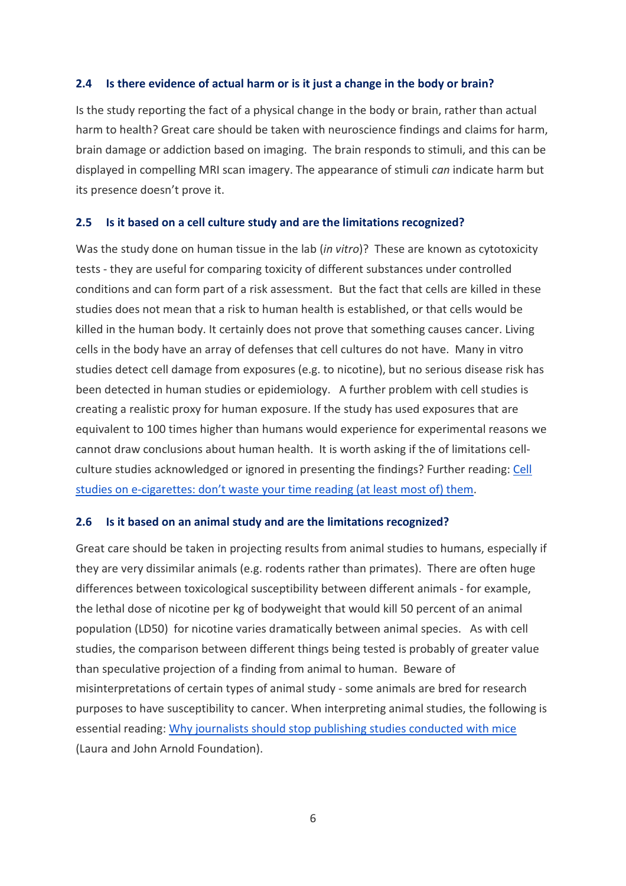#### **2.4 Is there evidence of actual harm or is it just a change in the body or brain?**

Is the study reporting the fact of a physical change in the body or brain, rather than actual harm to health? Great care should be taken with neuroscience findings and claims for harm, brain damage or addiction based on imaging. The brain responds to stimuli, and this can be displayed in compelling MRI scan imagery. The appearance of stimuli *can* indicate harm but its presence doesn't prove it.

#### **2.5 Is it based on a cell culture study and are the limitations recognized?**

Was the study done on human tissue in the lab (*in vitro*)? These are known as cytotoxicity tests - they are useful for comparing toxicity of different substances under controlled conditions and can form part of a risk assessment. But the fact that cells are killed in these studies does not mean that a risk to human health is established, or that cells would be killed in the human body. It certainly does not prove that something causes cancer. Living cells in the body have an array of defenses that cell cultures do not have. Many in vitro studies detect cell damage from exposures (e.g. to nicotine), but no serious disease risk has been detected in human studies or epidemiology. A further problem with cell studies is creating a realistic proxy for human exposure. If the study has used exposures that are equivalent to 100 times higher than humans would experience for experimental reasons we cannot draw conclusions about human health. It is worth asking if the of limitations cellculture studies acknowledged or ignored in presenting the findings? Further reading[: Cell](http://www.ecigarette-research.org/research/index.php/whats-new/whatsnew-2015/213-cell)  [studies on e-cigarettes: don't waste your time reading \(at least most of\) them.](http://www.ecigarette-research.org/research/index.php/whats-new/whatsnew-2015/213-cell)

#### **2.6 Is it based on an animal study and are the limitations recognized?**

Great care should be taken in projecting results from animal studies to humans, especially if they are very dissimilar animals (e.g. rodents rather than primates). There are often huge differences between toxicological susceptibility between different animals - for example, the lethal dose of nicotine per kg of bodyweight that would kill 50 percent of an animal population (LD50) for nicotine varies dramatically between animal species. As with cell studies, the comparison between different things being tested is probably of greater value than speculative projection of a finding from animal to human. Beware of misinterpretations of certain types of animal study - some animals are bred for research purposes to have susceptibility to cancer. When interpreting animal studies, the following is essential reading: [Why journalists should stop publishing studies conducted with mice](http://www.arnoldfoundation.org/stop-publishing-mouse-studies/) (Laura and John Arnold Foundation).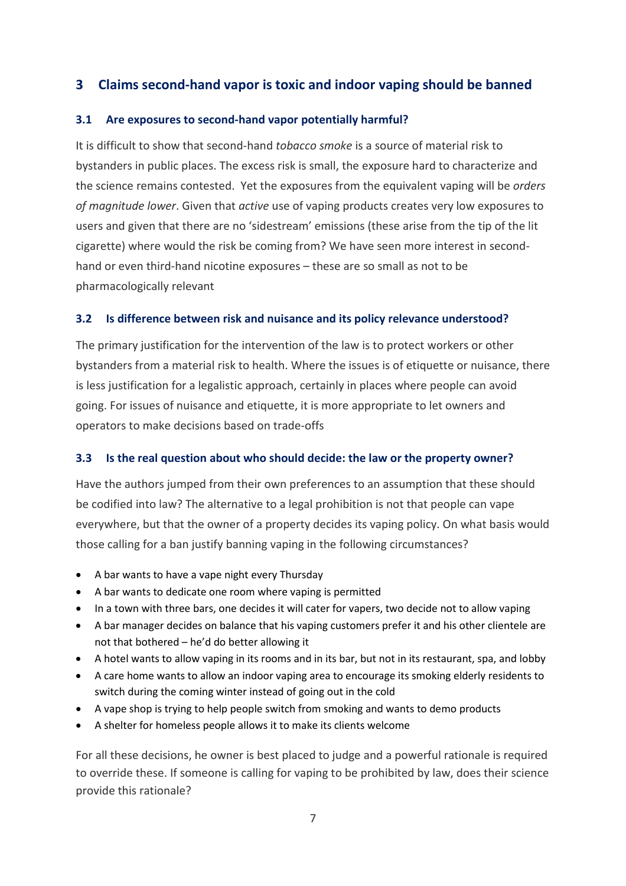## **3 Claims second-hand vapor is toxic and indoor vaping should be banned**

## **3.1 Are exposures to second-hand vapor potentially harmful?**

It is difficult to show that second-hand *tobacco smoke* is a source of material risk to bystanders in public places. The excess risk is small, the exposure hard to characterize and the science remains contested. Yet the exposures from the equivalent vaping will be *orders of magnitude lower*. Given that *active* use of vaping products creates very low exposures to users and given that there are no 'sidestream' emissions (these arise from the tip of the lit cigarette) where would the risk be coming from? We have seen more interest in secondhand or even third-hand nicotine exposures – these are so small as not to be pharmacologically relevant

## **3.2 Is difference between risk and nuisance and its policy relevance understood?**

The primary justification for the intervention of the law is to protect workers or other bystanders from a material risk to health. Where the issues is of etiquette or nuisance, there is less justification for a legalistic approach, certainly in places where people can avoid going. For issues of nuisance and etiquette, it is more appropriate to let owners and operators to make decisions based on trade-offs

#### **3.3 Is the real question about who should decide: the law or the property owner?**

Have the authors jumped from their own preferences to an assumption that these should be codified into law? The alternative to a legal prohibition is not that people can vape everywhere, but that the owner of a property decides its vaping policy. On what basis would those calling for a ban justify banning vaping in the following circumstances?

- A bar wants to have a vape night every Thursday
- A bar wants to dedicate one room where vaping is permitted
- In a town with three bars, one decides it will cater for vapers, two decide not to allow vaping
- A bar manager decides on balance that his vaping customers prefer it and his other clientele are not that bothered – he'd do better allowing it
- A hotel wants to allow vaping in its rooms and in its bar, but not in its restaurant, spa, and lobby
- A care home wants to allow an indoor vaping area to encourage its smoking elderly residents to switch during the coming winter instead of going out in the cold
- A vape shop is trying to help people switch from smoking and wants to demo products
- A shelter for homeless people allows it to make its clients welcome

For all these decisions, he owner is best placed to judge and a powerful rationale is required to override these. If someone is calling for vaping to be prohibited by law, does their science provide this rationale?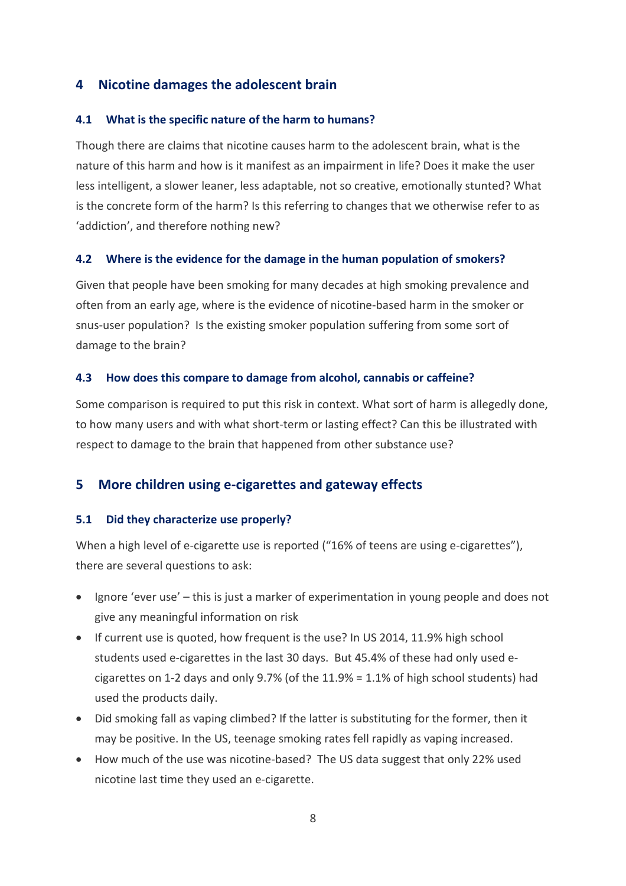## **4 Nicotine damages the adolescent brain**

#### **4.1 What is the specific nature of the harm to humans?**

Though there are claims that nicotine causes harm to the adolescent brain, what is the nature of this harm and how is it manifest as an impairment in life? Does it make the user less intelligent, a slower leaner, less adaptable, not so creative, emotionally stunted? What is the concrete form of the harm? Is this referring to changes that we otherwise refer to as 'addiction', and therefore nothing new?

#### **4.2 Where is the evidence for the damage in the human population of smokers?**

Given that people have been smoking for many decades at high smoking prevalence and often from an early age, where is the evidence of nicotine-based harm in the smoker or snus-user population? Is the existing smoker population suffering from some sort of damage to the brain?

#### **4.3 How does this compare to damage from alcohol, cannabis or caffeine?**

Some comparison is required to put this risk in context. What sort of harm is allegedly done, to how many users and with what short-term or lasting effect? Can this be illustrated with respect to damage to the brain that happened from other substance use?

## **5 More children using e-cigarettes and gateway effects**

#### **5.1 Did they characterize use properly?**

When a high level of e-cigarette use is reported ("16% of teens are using e-cigarettes"), there are several questions to ask:

- Ignore 'ever use' this is just a marker of experimentation in young people and does not give any meaningful information on risk
- If current use is quoted, how frequent is the use? In US 2014, 11.9% high school students used e-cigarettes in the last 30 days. But 45.4% of these had only used ecigarettes on 1-2 days and only 9.7% (of the 11.9% = 1.1% of high school students) had used the products daily.
- Did smoking fall as vaping climbed? If the latter is substituting for the former, then it may be positive. In the US, teenage smoking rates fell rapidly as vaping increased.
- How much of the use was nicotine-based? The US data suggest that only 22% used nicotine last time they used an e-cigarette.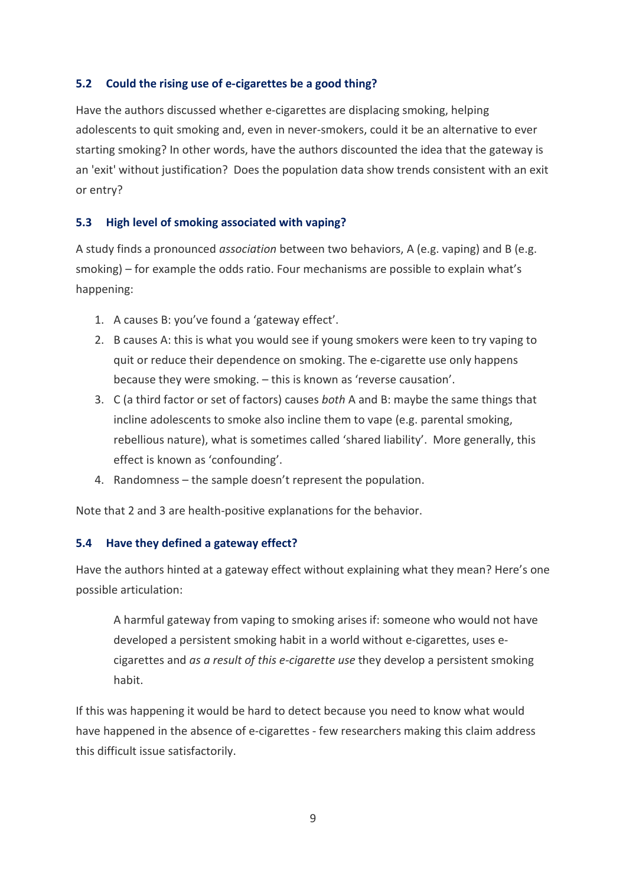## **5.2 Could the rising use of e-cigarettes be a good thing?**

Have the authors discussed whether e-cigarettes are displacing smoking, helping adolescents to quit smoking and, even in never-smokers, could it be an alternative to ever starting smoking? In other words, have the authors discounted the idea that the gateway is an 'exit' without justification? Does the population data show trends consistent with an exit or entry?

## **5.3 High level of smoking associated with vaping?**

A study finds a pronounced *association* between two behaviors, A (e.g. vaping) and B (e.g. smoking) – for example the odds ratio. Four mechanisms are possible to explain what's happening:

- 1. A causes B: you've found a 'gateway effect'.
- 2. B causes A: this is what you would see if young smokers were keen to try vaping to quit or reduce their dependence on smoking. The e-cigarette use only happens because they were smoking. – this is known as 'reverse causation'.
- 3. C (a third factor or set of factors) causes *both* A and B: maybe the same things that incline adolescents to smoke also incline them to vape (e.g. parental smoking, rebellious nature), what is sometimes called 'shared liability'. More generally, this effect is known as 'confounding'.
- 4. Randomness the sample doesn't represent the population.

Note that 2 and 3 are health-positive explanations for the behavior.

#### **5.4 Have they defined a gateway effect?**

Have the authors hinted at a gateway effect without explaining what they mean? Here's one possible articulation:

A harmful gateway from vaping to smoking arises if: someone who would not have developed a persistent smoking habit in a world without e-cigarettes, uses ecigarettes and *as a result of this e-cigarette use* they develop a persistent smoking habit.

If this was happening it would be hard to detect because you need to know what would have happened in the absence of e-cigarettes - few researchers making this claim address this difficult issue satisfactorily.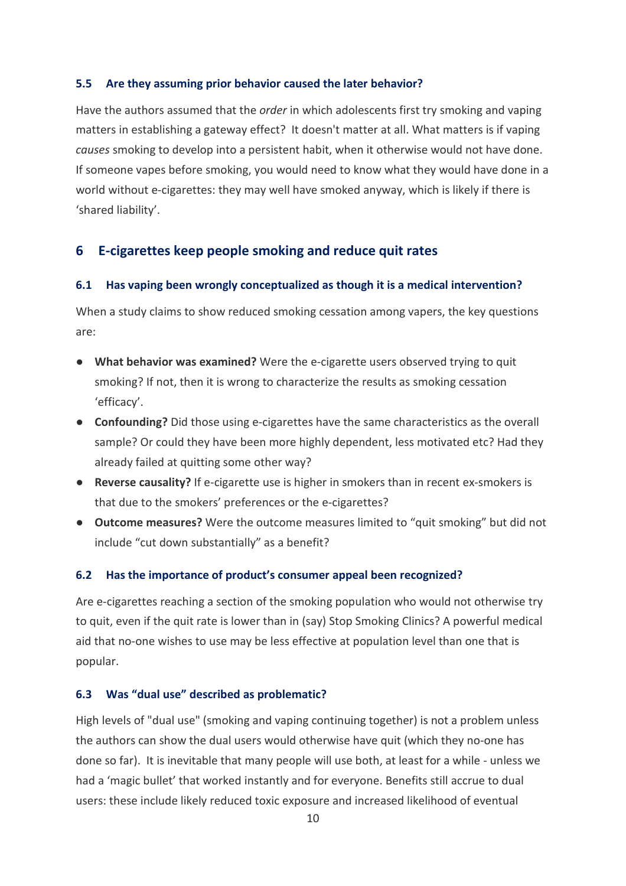#### **5.5 Are they assuming prior behavior caused the later behavior?**

Have the authors assumed that the *order* in which adolescents first try smoking and vaping matters in establishing a gateway effect? It doesn't matter at all. What matters is if vaping *causes* smoking to develop into a persistent habit, when it otherwise would not have done. If someone vapes before smoking, you would need to know what they would have done in a world without e-cigarettes: they may well have smoked anyway, which is likely if there is 'shared liability'.

## **6 E-cigarettes keep people smoking and reduce quit rates**

#### **6.1 Has vaping been wrongly conceptualized as though it is a medical intervention?**

When a study claims to show reduced smoking cessation among vapers, the key questions are:

- **What behavior was examined?** Were the e-cigarette users observed trying to quit smoking? If not, then it is wrong to characterize the results as smoking cessation 'efficacy'.
- **Confounding?** Did those using e-cigarettes have the same characteristics as the overall sample? Or could they have been more highly dependent, less motivated etc? Had they already failed at quitting some other way?
- **Reverse causality?** If e-cigarette use is higher in smokers than in recent ex-smokers is that due to the smokers' preferences or the e-cigarettes?
- **Outcome measures?** Were the outcome measures limited to "quit smoking" but did not include "cut down substantially" as a benefit?

#### **6.2 Has the importance of product's consumer appeal been recognized?**

Are e-cigarettes reaching a section of the smoking population who would not otherwise try to quit, even if the quit rate is lower than in (say) Stop Smoking Clinics? A powerful medical aid that no-one wishes to use may be less effective at population level than one that is popular.

#### **6.3 Was "dual use" described as problematic?**

High levels of "dual use" (smoking and vaping continuing together) is not a problem unless the authors can show the dual users would otherwise have quit (which they no-one has done so far). It is inevitable that many people will use both, at least for a while - unless we had a 'magic bullet' that worked instantly and for everyone. Benefits still accrue to dual users: these include likely reduced toxic exposure and increased likelihood of eventual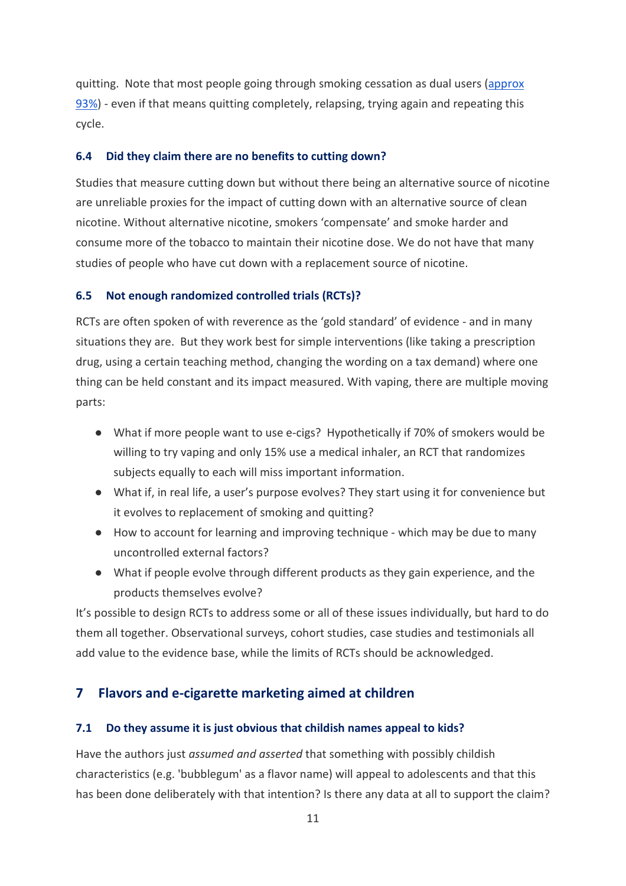quitting. Note that most people going through smoking cessation as dual users [\(approx](http://www.treatobacco.net/en/page_148.php)  [93%\)](http://www.treatobacco.net/en/page_148.php) - even if that means quitting completely, relapsing, trying again and repeating this cycle.

#### **6.4 Did they claim there are no benefits to cutting down?**

Studies that measure cutting down but without there being an alternative source of nicotine are unreliable proxies for the impact of cutting down with an alternative source of clean nicotine. Without alternative nicotine, smokers 'compensate' and smoke harder and consume more of the tobacco to maintain their nicotine dose. We do not have that many studies of people who have cut down with a replacement source of nicotine.

#### **6.5 Not enough randomized controlled trials (RCTs)?**

RCTs are often spoken of with reverence as the 'gold standard' of evidence - and in many situations they are. But they work best for simple interventions (like taking a prescription drug, using a certain teaching method, changing the wording on a tax demand) where one thing can be held constant and its impact measured. With vaping, there are multiple moving parts:

- What if more people want to use e-cigs? Hypothetically if 70% of smokers would be willing to try vaping and only 15% use a medical inhaler, an RCT that randomizes subjects equally to each will miss important information.
- What if, in real life, a user's purpose evolves? They start using it for convenience but it evolves to replacement of smoking and quitting?
- How to account for learning and improving technique which may be due to many uncontrolled external factors?
- What if people evolve through different products as they gain experience, and the products themselves evolve?

It's possible to design RCTs to address some or all of these issues individually, but hard to do them all together. Observational surveys, cohort studies, case studies and testimonials all add value to the evidence base, while the limits of RCTs should be acknowledged.

#### **7 Flavors and e-cigarette marketing aimed at children**

#### **7.1 Do they assume it is just obvious that childish names appeal to kids?**

Have the authors just *assumed and asserted* that something with possibly childish characteristics (e.g. 'bubblegum' as a flavor name) will appeal to adolescents and that this has been done deliberately with that intention? Is there any data at all to support the claim?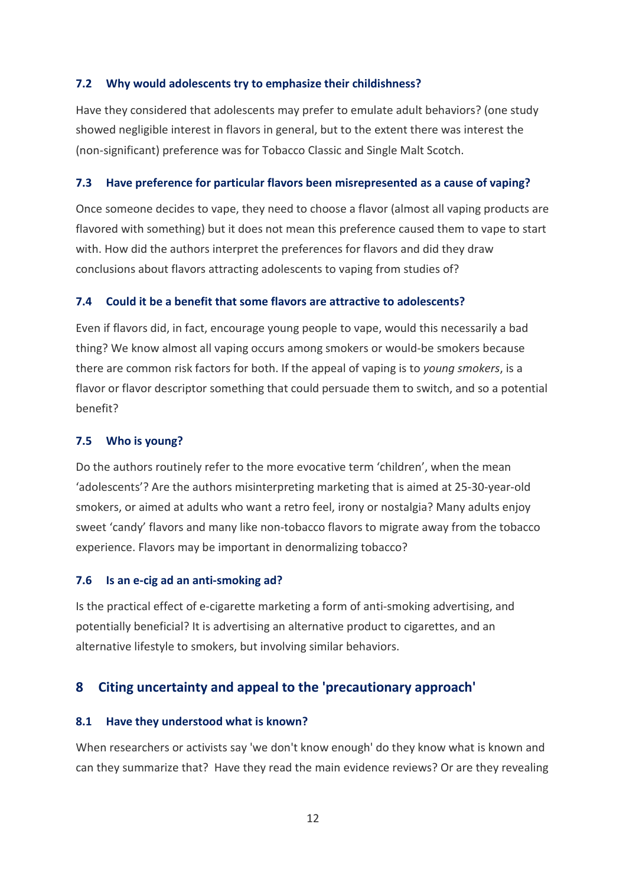#### **7.2 Why would adolescents try to emphasize their childishness?**

Have they considered that adolescents may prefer to emulate adult behaviors? (one study showed negligible interest in flavors in general, but to the extent there was interest the (non-significant) preference was for Tobacco Classic and Single Malt Scotch.

#### **7.3 Have preference for particular flavors been misrepresented as a cause of vaping?**

Once someone decides to vape, they need to choose a flavor (almost all vaping products are flavored with something) but it does not mean this preference caused them to vape to start with. How did the authors interpret the preferences for flavors and did they draw conclusions about flavors attracting adolescents to vaping from studies of?

#### **7.4 Could it be a benefit that some flavors are attractive to adolescents?**

Even if flavors did, in fact, encourage young people to vape, would this necessarily a bad thing? We know almost all vaping occurs among smokers or would-be smokers because there are common risk factors for both. If the appeal of vaping is to *young smokers*, is a flavor or flavor descriptor something that could persuade them to switch, and so a potential benefit?

#### **7.5 Who is young?**

Do the authors routinely refer to the more evocative term 'children', when the mean 'adolescents'? Are the authors misinterpreting marketing that is aimed at 25-30-year-old smokers, or aimed at adults who want a retro feel, irony or nostalgia? Many adults enjoy sweet 'candy' flavors and many like non-tobacco flavors to migrate away from the tobacco experience. Flavors may be important in denormalizing tobacco?

#### **7.6 Is an e-cig ad an anti-smoking ad?**

Is the practical effect of e-cigarette marketing a form of anti-smoking advertising, and potentially beneficial? It is advertising an alternative product to cigarettes, and an alternative lifestyle to smokers, but involving similar behaviors.

## **8 Citing uncertainty and appeal to the 'precautionary approach'**

#### **8.1 Have they understood what is known?**

When researchers or activists say 'we don't know enough' do they know what is known and can they summarize that? Have they read the main evidence reviews? Or are they revealing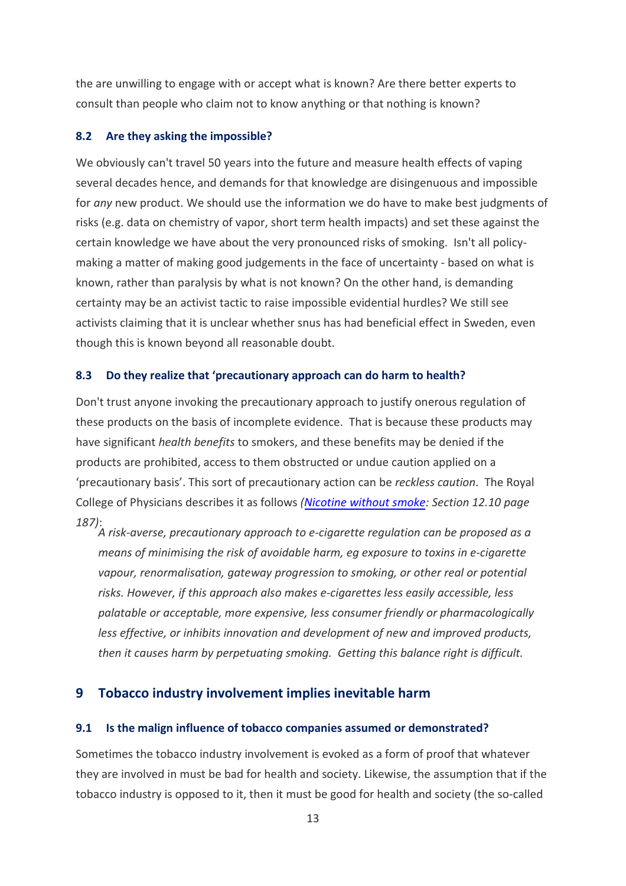the are unwilling to engage with or accept what is known? Are there better experts to consult than people who claim not to know anything or that nothing is known?

#### **8.2 Are they asking the impossible?**

We obviously can't travel 50 years into the future and measure health effects of vaping several decades hence, and demands for that knowledge are disingenuous and impossible for *any* new product. We should use the information we do have to make best judgments of risks (e.g. data on chemistry of vapor, short term health impacts) and set these against the certain knowledge we have about the very pronounced risks of smoking. Isn't all policymaking a matter of making good judgements in the face of uncertainty - based on what is known, rather than paralysis by what is not known? On the other hand, is demanding certainty may be an activist tactic to raise impossible evidential hurdles? We still see activists claiming that it is unclear whether snus has had beneficial effect in Sweden, even though this is known beyond all reasonable doubt.

#### **8.3 Do they realize that 'precautionary approach can do harm to health?**

Don't trust anyone invoking the precautionary approach to justify onerous regulation of these products on the basis of incomplete evidence. That is because these products may have significant *health benefits* to smokers, and these benefits may be denied if the products are prohibited, access to them obstructed or undue caution applied on a 'precautionary basis'. This sort of precautionary action can be *reckless caution*. The Royal College of Physicians describes it as follows *[\(Nicotine with](https://www.rcplondon.ac.uk/projects/outputs/nicotine-without-smoke-tobacco-harm-reduction-0)out smoke: Section 12.10 page 187)*:

*A risk-averse, precautionary approach to e-cigarette regulation can be proposed as a means of minimising the risk of avoidable harm, eg exposure to toxins in e-cigarette vapour, renormalisation, gateway progression to smoking, or other real or potential risks. However, if this approach also makes e-cigarettes less easily accessible, less palatable or acceptable, more expensive, less consumer friendly or pharmacologically less effective, or inhibits innovation and development of new and improved products, then it causes harm by perpetuating smoking. Getting this balance right is difficult.* 

#### **9 Tobacco industry involvement implies inevitable harm**

#### **9.1 Is the malign influence of tobacco companies assumed or demonstrated?**

Sometimes the tobacco industry involvement is evoked as a form of proof that whatever they are involved in must be bad for health and society. Likewise, the assumption that if the tobacco industry is opposed to it, then it must be good for health and society (the so-called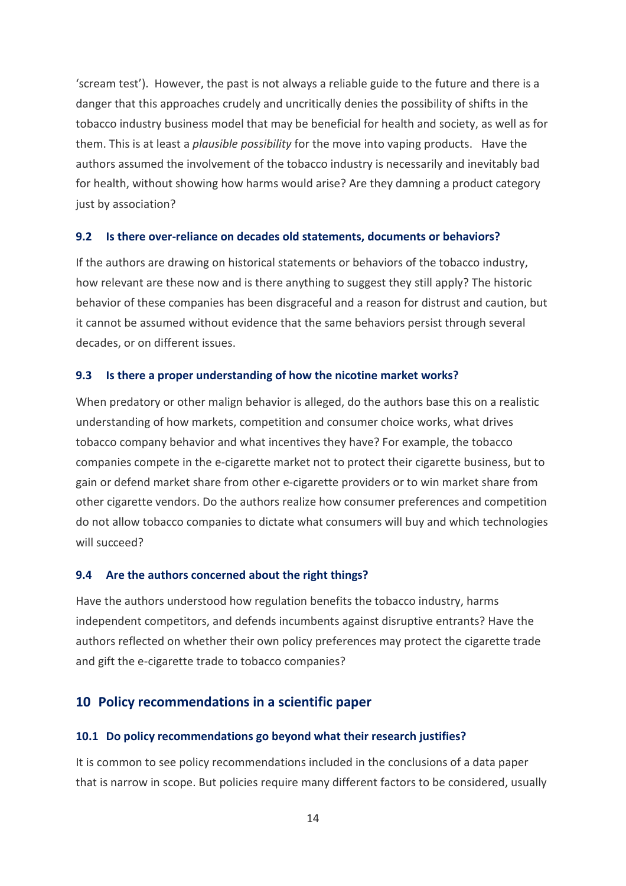'scream test'). However, the past is not always a reliable guide to the future and there is a danger that this approaches crudely and uncritically denies the possibility of shifts in the tobacco industry business model that may be beneficial for health and society, as well as for them. This is at least a *plausible possibility* for the move into vaping products. Have the authors assumed the involvement of the tobacco industry is necessarily and inevitably bad for health, without showing how harms would arise? Are they damning a product category just by association?

#### **9.2 Is there over-reliance on decades old statements, documents or behaviors?**

If the authors are drawing on historical statements or behaviors of the tobacco industry, how relevant are these now and is there anything to suggest they still apply? The historic behavior of these companies has been disgraceful and a reason for distrust and caution, but it cannot be assumed without evidence that the same behaviors persist through several decades, or on different issues.

#### **9.3 Is there a proper understanding of how the nicotine market works?**

When predatory or other malign behavior is alleged, do the authors base this on a realistic understanding of how markets, competition and consumer choice works, what drives tobacco company behavior and what incentives they have? For example, the tobacco companies compete in the e-cigarette market not to protect their cigarette business, but to gain or defend market share from other e-cigarette providers or to win market share from other cigarette vendors. Do the authors realize how consumer preferences and competition do not allow tobacco companies to dictate what consumers will buy and which technologies will succeed?

#### **9.4 Are the authors concerned about the right things?**

Have the authors understood how regulation benefits the tobacco industry, harms independent competitors, and defends incumbents against disruptive entrants? Have the authors reflected on whether their own policy preferences may protect the cigarette trade and gift the e-cigarette trade to tobacco companies?

### **10 Policy recommendations in a scientific paper**

#### **10.1 Do policy recommendations go beyond what their research justifies?**

It is common to see policy recommendations included in the conclusions of a data paper that is narrow in scope. But policies require many different factors to be considered, usually